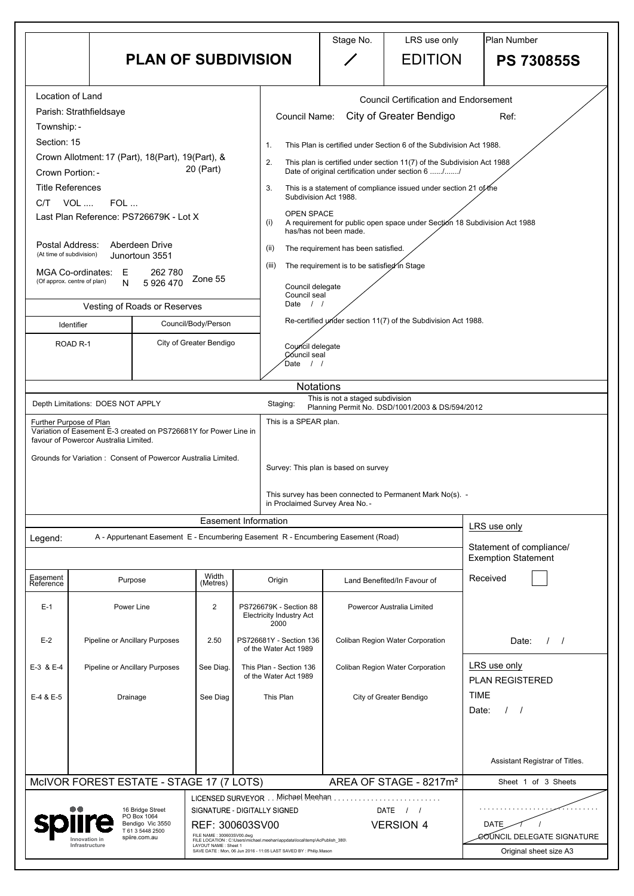|                                | <b>PLAN OF SUBDIVISION</b>                                                                                                                                                                                                                                                                                                                                                                                                                  |                                                   |                                                                                                                                                                                                                                       | Stage No.                                                                                                              | LRS use only<br><b>EDITION</b>                                                                                                                                                                                                                                                                                                                                                                                                 | <b>Plan Number</b><br><b>PS 730855S</b>                                           |  |  |
|--------------------------------|---------------------------------------------------------------------------------------------------------------------------------------------------------------------------------------------------------------------------------------------------------------------------------------------------------------------------------------------------------------------------------------------------------------------------------------------|---------------------------------------------------|---------------------------------------------------------------------------------------------------------------------------------------------------------------------------------------------------------------------------------------|------------------------------------------------------------------------------------------------------------------------|--------------------------------------------------------------------------------------------------------------------------------------------------------------------------------------------------------------------------------------------------------------------------------------------------------------------------------------------------------------------------------------------------------------------------------|-----------------------------------------------------------------------------------|--|--|
| C/T                            | Location of Land<br>Parish: Strathfieldsaye<br>Township: -<br>Section: 15<br>Crown Allotment: 17 (Part), 18(Part), 19(Part), &<br>20 (Part)<br>Crown Portion: -<br><b>Title References</b><br>VOL  FOL<br>Last Plan Reference: PS726679K - Lot X<br>Postal Address:<br>Aberdeen Drive<br>(At time of subdivision)<br>Junortoun 3551<br><b>MGA Co-ordinates:</b><br>262 780<br>E<br>Zone 55<br>(Of approx. centre of plan)<br>5 926 470<br>N |                                                   | <b>Council Name:</b><br>2.<br>3.<br><b>OPEN SPACE</b><br>(i)                                                                                                                                                                          | Subdivision Act 1988.<br>has/has not been made.                                                                        | <b>Council Certification and Endorsement</b><br>City of Greater Bendigo<br>This Plan is certified under Section 6 of the Subdivision Act 1988.<br>This plan is certified under section 11(7) of the Subdivision Act 1988<br>Date of original certification under section 6 //<br>This is a statement of compliance issued under section 21 of the<br>A requirement for public open space under Section 18 Subdivision Act 1988 | Ref:                                                                              |  |  |
|                                |                                                                                                                                                                                                                                                                                                                                                                                                                                             |                                                   | (ii)<br>(iii)<br>Date $/$ /                                                                                                                                                                                                           | The requirement has been satisfied.<br>The requirement is to be satisfied in Stage<br>Council delegate<br>Council seal |                                                                                                                                                                                                                                                                                                                                                                                                                                |                                                                                   |  |  |
|                                | Vesting of Roads or Reserves<br>Council/Body/Person<br>Identifier                                                                                                                                                                                                                                                                                                                                                                           |                                                   |                                                                                                                                                                                                                                       | Re-certified under section 11(7) of the Subdivision Act 1988.                                                          |                                                                                                                                                                                                                                                                                                                                                                                                                                |                                                                                   |  |  |
| ROAD <sub>R-1</sub>            |                                                                                                                                                                                                                                                                                                                                                                                                                                             | City of Greater Bendigo                           | Council delegate<br>Council seal<br>Date                                                                                                                                                                                              |                                                                                                                        |                                                                                                                                                                                                                                                                                                                                                                                                                                |                                                                                   |  |  |
| Further Purpose of Plan        | Depth Limitations: DOES NOT APPLY<br>Variation of Easement E-3 created on PS726681Y for Power Line in<br>favour of Powercor Australia Limited.<br>Grounds for Variation: Consent of Powercor Australia Limited.                                                                                                                                                                                                                             |                                                   | <b>Notations</b><br>Staging:<br>This is a SPEAR plan.<br>in Proclaimed Survey Area No. -                                                                                                                                              | This is not a staged subdivision<br>Survey: This plan is based on survey                                               | Planning Permit No. DSD/1001/2003 & DS/594/2012<br>This survey has been connected to Permanent Mark No(s). -                                                                                                                                                                                                                                                                                                                   |                                                                                   |  |  |
|                                |                                                                                                                                                                                                                                                                                                                                                                                                                                             |                                                   | <b>Easement Information</b>                                                                                                                                                                                                           |                                                                                                                        |                                                                                                                                                                                                                                                                                                                                                                                                                                | LRS use only                                                                      |  |  |
| Legend:                        | A - Appurtenant Easement E - Encumbering Easement R - Encumbering Easement (Road)                                                                                                                                                                                                                                                                                                                                                           |                                                   |                                                                                                                                                                                                                                       |                                                                                                                        |                                                                                                                                                                                                                                                                                                                                                                                                                                | Statement of compliance/<br><b>Exemption Statement</b>                            |  |  |
| Easement<br>Reference<br>$E-1$ | Purpose<br>Power Line                                                                                                                                                                                                                                                                                                                                                                                                                       | Width<br>(Metres)<br>$\overline{2}$               | Origin<br>PS726679K - Section 88                                                                                                                                                                                                      |                                                                                                                        | Land Benefited/In Favour of<br>Powercor Australia Limited                                                                                                                                                                                                                                                                                                                                                                      | Received                                                                          |  |  |
| $E-2$                          | Pipeline or Ancillary Purposes                                                                                                                                                                                                                                                                                                                                                                                                              | 2.50                                              | <b>Electricity Industry Act</b><br>2000<br>PS726681Y - Section 136<br>of the Water Act 1989                                                                                                                                           |                                                                                                                        | <b>Coliban Region Water Corporation</b>                                                                                                                                                                                                                                                                                                                                                                                        | Date:<br>$\frac{1}{2}$                                                            |  |  |
| E-3 & E-4                      | <b>Pipeline or Ancillary Purposes</b>                                                                                                                                                                                                                                                                                                                                                                                                       | See Diag.                                         | This Plan - Section 136<br>of the Water Act 1989                                                                                                                                                                                      |                                                                                                                        | <b>Coliban Region Water Corporation</b>                                                                                                                                                                                                                                                                                                                                                                                        | LRS use only<br><b>PLAN REGISTERED</b>                                            |  |  |
| E-4 & E-5                      | Drainage                                                                                                                                                                                                                                                                                                                                                                                                                                    | See Diag                                          | This Plan                                                                                                                                                                                                                             |                                                                                                                        | City of Greater Bendigo                                                                                                                                                                                                                                                                                                                                                                                                        | <b>TIME</b><br>Date:                                                              |  |  |
|                                | MCIVOR FOREST ESTATE - STAGE 17 (7 LOTS)                                                                                                                                                                                                                                                                                                                                                                                                    |                                                   |                                                                                                                                                                                                                                       |                                                                                                                        | AREA OF STAGE - 8217m <sup>2</sup>                                                                                                                                                                                                                                                                                                                                                                                             | Assistant Registrar of Titles.<br>Sheet 1 of 3 Sheets                             |  |  |
|                                | 16 Bridge Street<br>PO Box 1064<br>Bendigo Vic 3550<br>T 61 3 5448 2500<br>spiire.com.au<br>Innovation ir<br>Infrastructure                                                                                                                                                                                                                                                                                                                 | FILE NAME: 300603SV00.dwg<br>LAYOUT NAME: Sheet 1 | LICENSED SURVEYOR Michael Meehan<br>SIGNATURE - DIGITALLY SIGNED<br>REF: 300603SV00<br>FILE LOCATION : C:\Users\michael.meehan\appdata\local\temp\AcPublish 380\<br>SAVE DATE : Mon, 06 Jun 2016 - 11:05 LAST SAVED BY : Philip.Mason |                                                                                                                        | DATE<br><b>VERSION 4</b>                                                                                                                                                                                                                                                                                                                                                                                                       | <b>DATE</b><br><b><i>GO</i>UNCIL DELEGATE SIGNATURE</b><br>Original sheet size A3 |  |  |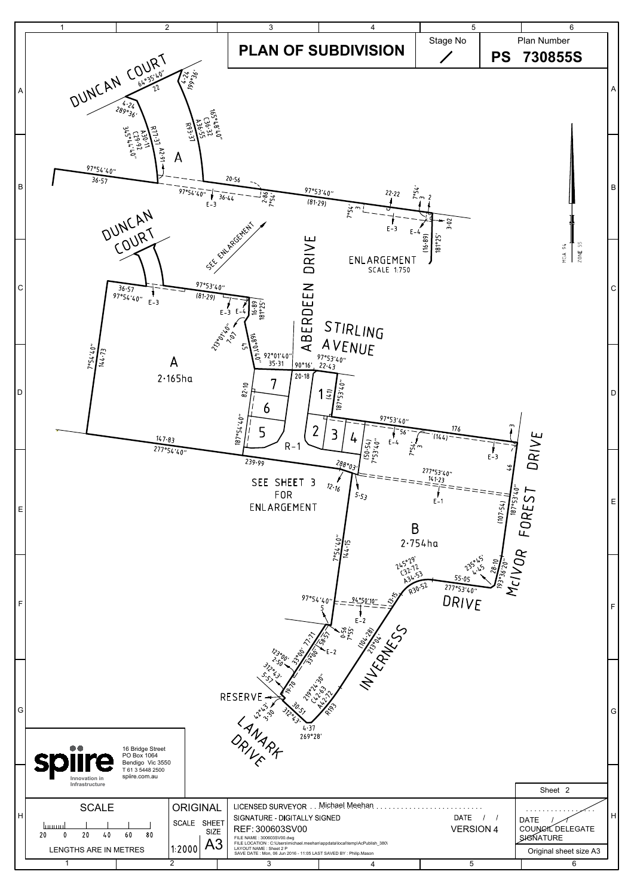

| $\vert G \vert$ | $\bullet\bullet$<br><b>spiire</b><br>Innovation in               | ిసు<br>◡<br>$\mathscr{L}$<br>$\mathcal{S}_{\mathcal{C}}$<br>219-1-1-5<br>RESERVE<br>$v^{\circ}_{\nu}$<br>G<br>4.37<br><b>MARX</b><br>269°28'<br>ORIVE<br>16 Bridge Street<br>PO Box 1064<br>Bendigo Vic 3550<br>T 61 3 5448 2500<br>spiire.com.au |                                                                         |                                                                                                                                                                                                                                                                                |                |                                 |                                                                               |  |
|-----------------|------------------------------------------------------------------|---------------------------------------------------------------------------------------------------------------------------------------------------------------------------------------------------------------------------------------------------|-------------------------------------------------------------------------|--------------------------------------------------------------------------------------------------------------------------------------------------------------------------------------------------------------------------------------------------------------------------------|----------------|---------------------------------|-------------------------------------------------------------------------------|--|
|                 | Infrastructure                                                   |                                                                                                                                                                                                                                                   |                                                                         |                                                                                                                                                                                                                                                                                |                |                                 | Sheet 2                                                                       |  |
| H               | <b>SCALE</b><br>luuuu<br>20<br>40<br>20<br>LENGTHS ARE IN METRES | 60<br>80                                                                                                                                                                                                                                          | <b>ORIGINAL</b><br><b>SHEET</b><br>SCALE<br><b>SIZE</b><br>A3<br>1:2000 | LICENSED SURVEYOR<br>SIGNATURE - DIGITALLY SIGNED<br>REF: 300603SV00<br>FILE NAME: 300603SV00.dwg<br>FILE LOCATION : C:\Users\michael.meehan\appdata\local\temp\AcPublish_380\<br>LAYOUT NAME : Sheet 2 P<br>SAVE DATE : Mon, 06 Jun 2016 - 11:05 LAST SAVED BY : Philip.Mason | Michael Meehan | <b>DATE</b><br><b>VERSION 4</b> | <b>DATE</b><br>COUNCIL DELEGATE<br><b>SIGNATURE</b><br>Original sheet size A3 |  |
|                 |                                                                  |                                                                                                                                                                                                                                                   |                                                                         |                                                                                                                                                                                                                                                                                | 4              | 5                               | 6                                                                             |  |